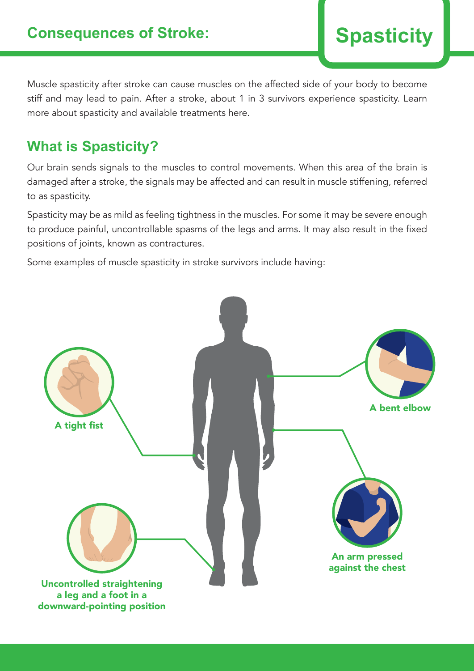Muscle spasticity after stroke can cause muscles on the affected side of your body to become stiff and may lead to pain. After a stroke, about 1 in 3 survivors experience spasticity. Learn more about spasticity and available treatments here.

# **What is Spasticity?**

Our brain sends signals to the muscles to control movements. When this area of the brain is damaged after a stroke, the signals may be affected and can result in muscle stiffening, referred to as spasticity.

Spasticity may be as mild as feeling tightness in the muscles. For some it may be severe enough to produce painful, uncontrollable spasms of the legs and arms. It may also result in the fixed positions of joints, known as contractures.

Some examples of muscle spasticity in stroke survivors include having:

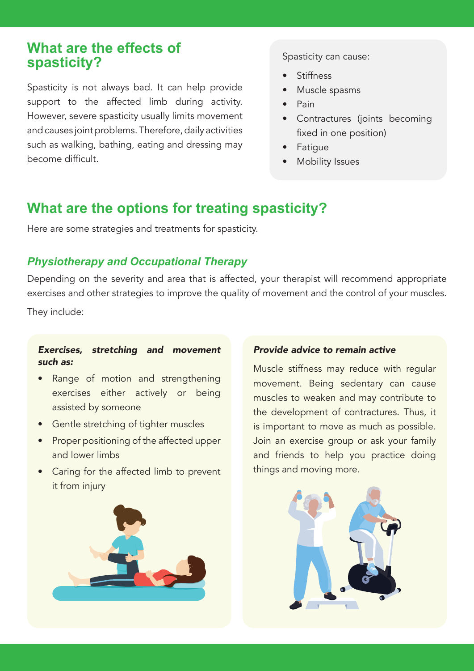# **What are the effects of spasticity?**

Spasticity is not always bad. It can help provide support to the affected limb during activity. However, severe spasticity usually limits movement and causes joint problems. Therefore, daily activities such as walking, bathing, eating and dressing may become difficult.

Spasticity can cause:

- **Stiffness**
- Muscle spasms
- Pain
- Contractures (joints becoming fixed in one position)
- Fatigue
- **Mobility Issues**

# **What are the options for treating spasticity?**

Here are some strategies and treatments for spasticity.

### *Physiotherapy and Occupational Therapy*

Depending on the severity and area that is affected, your therapist will recommend appropriate exercises and other strategies to improve the quality of movement and the control of your muscles.

They include:

### Exercises, stretching and movement such as:

- Range of motion and strengthening exercises either actively or being assisted by someone
- Gentle stretching of tighter muscles
- Proper positioning of the affected upper and lower limbs
- Caring for the affected limb to prevent it from injury



### Provide advice to remain active

Muscle stiffness may reduce with regular movement. Being sedentary can cause muscles to weaken and may contribute to the development of contractures. Thus, it is important to move as much as possible. Join an exercise group or ask your family and friends to help you practice doing things and moving more.

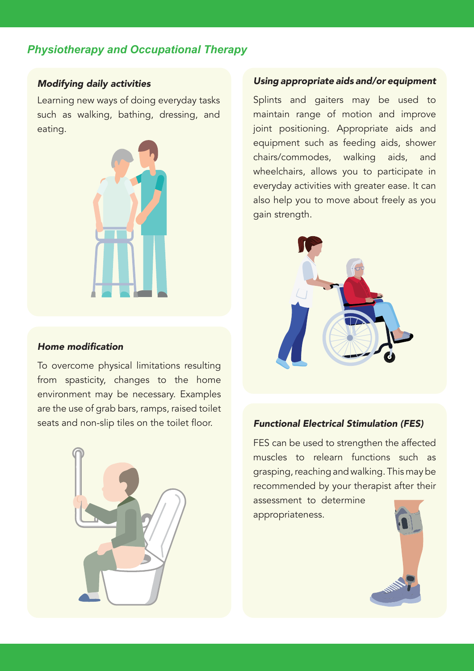# *Physiotherapy and Occupational Therapy*

### Modifying daily activities

Learning new ways of doing everyday tasks such as walking, bathing, dressing, and eating.



### Home modification

To overcome physical limitations resulting from spasticity, changes to the home environment may be necessary. Examples are the use of grab bars, ramps, raised toilet seats and non-slip tiles on the toilet floor.



#### Using appropriate aids and/or equipment

Splints and gaiters may be used to maintain range of motion and improve joint positioning. Appropriate aids and equipment such as feeding aids, shower chairs/commodes, walking aids, and wheelchairs, allows you to participate in everyday activities with greater ease. It can also help you to move about freely as you gain strength.



### Functional Electrical Stimulation (FES)

FES can be used to strengthen the affected muscles to relearn functions such as grasping, reaching and walking. This may be recommended by your therapist after their assessment to determine

appropriateness.

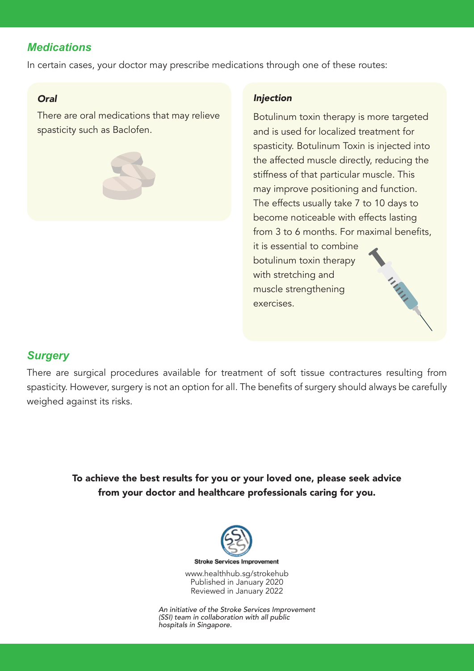# *Medications*

In certain cases, your doctor may prescribe medications through one of these routes:

### **Oral**

There are oral medications that may relieve spasticity such as Baclofen.

### Injection

Botulinum toxin therapy is more targeted and is used for localized treatment for spasticity. Botulinum Toxin is injected into the affected muscle directly, reducing the stiffness of that particular muscle. This may improve positioning and function. The effects usually take 7 to 10 days to become noticeable with effects lasting from 3 to 6 months. For maximal benefits,

MAN

it is essential to combine botulinum toxin therapy with stretching and muscle strengthening exercises.

# *Surgery*

There are surgical procedures available for treatment of soft tissue contractures resulting from spasticity. However, surgery is not an option for all. The benefits of surgery should always be carefully weighed against its risks.

> To achieve the best results for you or your loved one, please seek advice from your doctor and healthcare professionals caring for you.



Reviewed in January 2022 An initiative of the Stroke Services Improvement (SSI) team in collaboration with all public

hospitals in Singapore.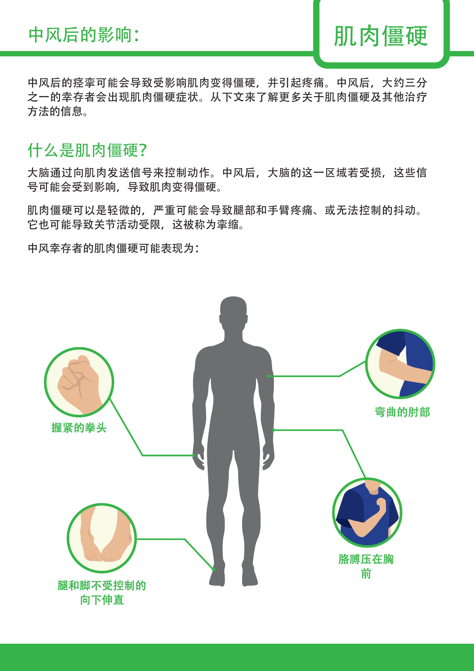

中风后的痉挛可能会导致受影响肌肉变得僵硬,并引起疼痛。中风后,大约三分 之一的幸存者会出现肌肉僵硬症状。从下文来了解更多关于肌肉僵硬及其他治疗 方法的信息。

# 什么是肌肉僵硬?

大脑通过向肌肉发送信号来控制动作。中风后,大脑的这一区域若受损,这些信 号可能会受到影响,导致肌肉变得僵硬。

肌肉僵硬可以是轻微的,严重可能会导致腿部和手臂疼痛、或无法控制的抖动。 它也可能导致关节活动受限,这被称为挛缩。

中风幸存者的肌肉僵硬可能表现为:

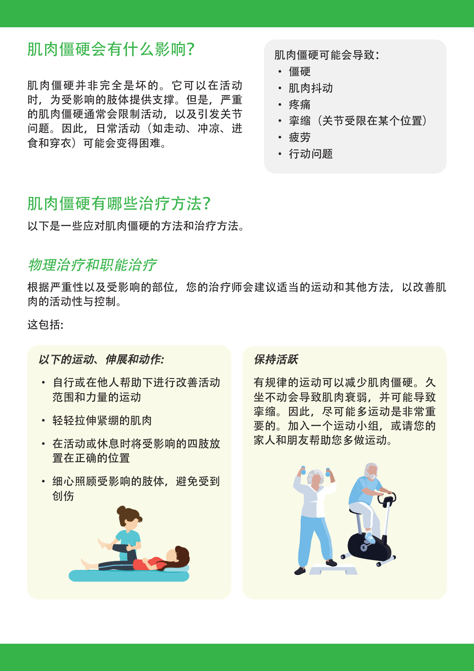# 肌肉僵硬会有什么影响?

肌肉僵硬并非完全是坏的。它可以在活动 时,为受影响的肢体提供支撑。但是,严重 的肌肉僵硬通常会限制活动,以及引发关节 问题。因此,日常活动(如走动、冲凉、进 食和穿衣)可能会变得困难。

肌肉僵硬可能会导致:

- 僵硬
- 肌肉抖动
- 疼痛
- 挛缩(关节受限在某个位置)
- 疲劳
- 行动问题

# 肌肉僵硬有哪些治疗方法?

以下是一些应对肌肉僵硬的方法和治疗方法。

# 物理治疗和职能治疗

根据严重性以及受影响的部位,您的治疗师会建议适当的运动和其他方法,以改善肌 肉的活动性与控制。

这包括:

# 以下的运动、伸展和动作:

- 自行或在他人帮助下进行改善活动 范围和力量的运动
- 轻轻拉伸紧绷的肌肉
- 在活动或休息时将受影响的四肢放 置在正确的位置
- 细心照顾受影响的肢体,避免受到 创伤



### 保持活跃

有规律的运动可以减少肌肉僵硬。久 坐不动会导致肌肉衰弱,并可能导致 挛缩。因此,尽可能多运动是非常重 要的。加入一个运动小组,或请您的 家人和朋友帮助您多做运动。

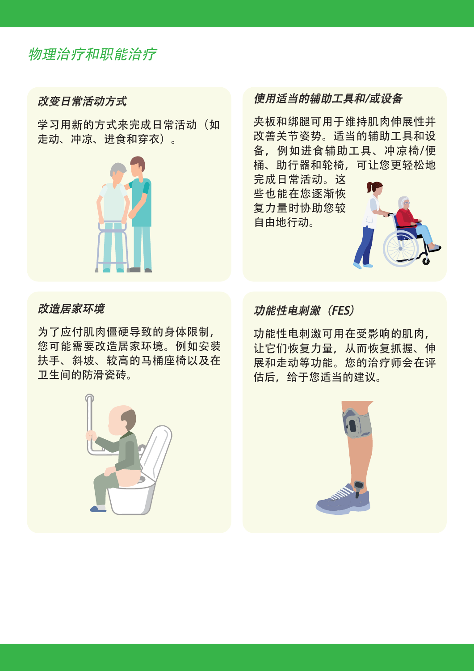# 物理治疗和职能治疗

# 改变日常活动方式

学习用新的方式来完成日常活动(如 走动、冲凉、进食和穿衣)。



# 使用适当的辅助工具和/或设备

夹板和绑腿可用于维持肌肉伸展性并 改善关节姿势。适当的辅助工具和设 备,例如进食辅助工具、冲凉椅/便 桶、助行器和轮椅,可让您更轻松地

完成日常活动。这 些也能在您逐渐恢 复力量时协助您较 自由地行动。



### 改造居家环境

为了应付肌肉僵硬导致的身体限制, 您可能需要改造居家环境。例如安装 扶手、斜坡、较高的马桶座椅以及在 卫生间的防滑瓷砖。



功能性电刺激可用在受影响的肌肉, 让它们恢复力量,从而恢复抓握、伸 展和走动等功能。您的治疗师会在评 估后,给于您适当的建议。

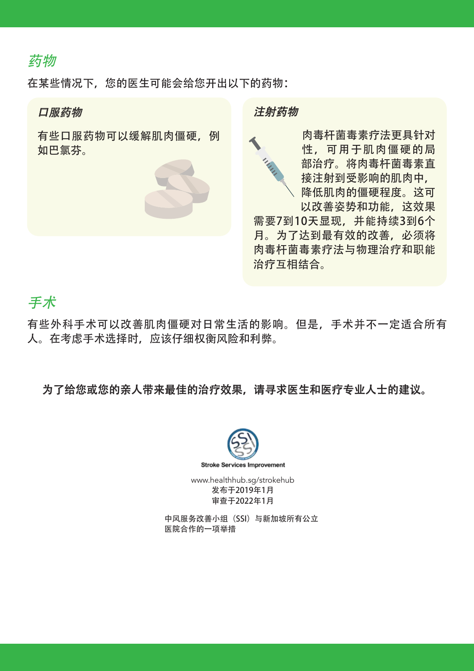# 药物

在某些情况下, 您的医生可能会给您开出以下的药物:

### 口服药物

有些口服药物可以缓解肌肉僵硬,例 如巴氯芬。





肉毒杆菌毒素疗法更具针对 性,可用于肌肉僵硬的局 部治疗。将肉毒杆菌毒素直 接注射到受影响的肌肉中, 降低肌肉的僵硬程度。这可 以改善姿势和功能,这效果 需要7到10天显现,并能持续3到6个 月。为了达到最有效的改善,必须将 肉毒杆菌毒素疗法与物理治疗和职能 治疗互相结合。

# 手术

有些外科手术可以改善肌肉僵硬对日常生活的影响。但是,手术并不一定适合所有 人。在考虑手术选择时,应该仔细权衡风险和利弊。

# 为了给您或您的亲人带来最佳的治疗效果,请寻求医生和医疗专业人士的建议。



www.healthhub.sg/strokehub 发布于2019年1月 审查于2022年1月

中风服务改善小组(SSI)与新加坡所有公立 医院合作的一项举措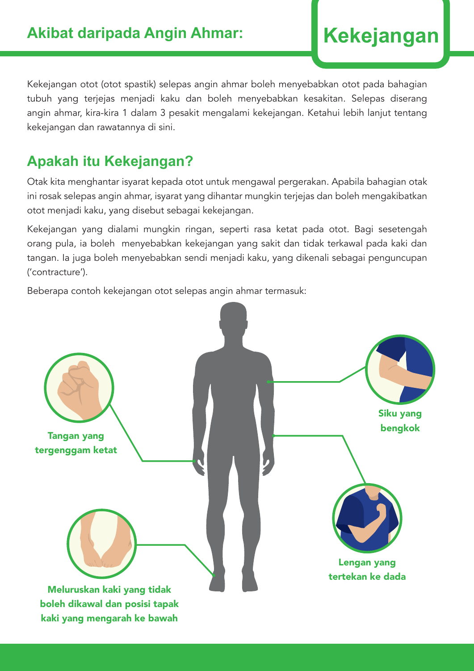Kekejangan otot (otot spastik) selepas angin ahmar boleh menyebabkan otot pada bahagian tubuh yang terjejas menjadi kaku dan boleh menyebabkan kesakitan. Selepas diserang angin ahmar, kira-kira 1 dalam 3 pesakit mengalami kekejangan. Ketahui lebih lanjut tentang kekejangan dan rawatannya di sini.

# **Apakah itu Kekejangan?**

Otak kita menghantar isyarat kepada otot untuk mengawal pergerakan. Apabila bahagian otak ini rosak selepas angin ahmar, isyarat yang dihantar mungkin terjejas dan boleh mengakibatkan otot menjadi kaku, yang disebut sebagai kekejangan.

Kekejangan yang dialami mungkin ringan, seperti rasa ketat pada otot. Bagi sesetengah orang pula, ia boleh menyebabkan kekejangan yang sakit dan tidak terkawal pada kaki dan tangan. Ia juga boleh menyebabkan sendi menjadi kaku, yang dikenali sebagai penguncupan ('contracture').

Beberapa contoh kekejangan otot selepas angin ahmar termasuk:

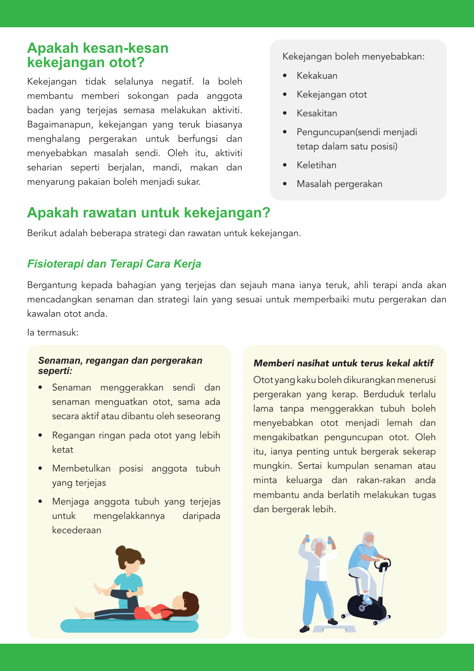# **Apakah kesan-kesan kekejangan otot?**

Kekejangan tidak selalunya negatif. Ia boleh membantu memberi sokongan pada anggota badan yang terjejas semasa melakukan aktiviti. Bagaimanapun, kekejangan yang teruk biasanya menghalang pergerakan untuk berfungsi dan menyebabkan masalah sendi. Oleh itu, aktiviti seharian seperti berjalan, mandi, makan dan menyarung pakaian boleh menjadi sukar.

### Kekejangan boleh menyebabkan:

- Kekakuan
- Kekejangan otot
- Kesakitan
- Penguncupan(sendi menjadi tetap dalam satu posisi)
- Keletihan
- Masalah pergerakan

# **Apakah rawatan untuk kekejangan?**

Berikut adalah beberapa strategi dan rawatan untuk kekejangan.

### *Fisioterapi dan Terapi Cara Kerja*

Bergantung kepada bahagian yang terjejas dan sejauh mana ianya teruk, ahli terapi anda akan mencadangkan senaman dan strategi lain yang sesuai untuk memperbaiki mutu pergerakan dan kawalan otot anda.

Ia termasuk:

#### *Senaman, regangan dan pergerakan seperti:*

- Senaman menggerakkan sendi dan senaman menguatkan otot, sama ada secara aktif atau dibantu oleh seseorang
- Regangan ringan pada otot yang lebih ketat
- Membetulkan posisi anggota tubuh yang terjejas
- Menjaga anggota tubuh yang terjejas untuk mengelakkannya daripada kecederaan



### Memberi nasihat untuk terus kekal aktif

Otot yang kaku boleh dikurangkan menerusi pergerakan yang kerap. Berduduk terlalu lama tanpa menggerakkan tubuh boleh menyebabkan otot menjadi lemah dan mengakibatkan penguncupan otot. Oleh itu, ianya penting untuk bergerak sekerap mungkin. Sertai kumpulan senaman atau minta keluarga dan rakan-rakan anda membantu anda berlatih melakukan tugas dan bergerak lebih.

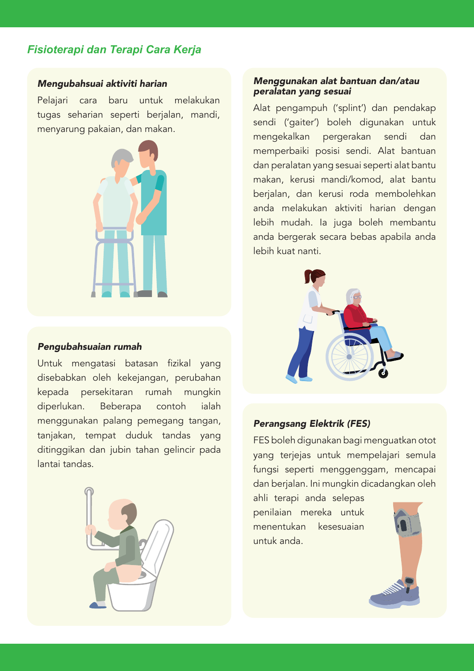## *Fisioterapi dan Terapi Cara Kerja*

#### Mengubahsuai aktiviti harian

Pelajari cara baru untuk melakukan tugas seharian seperti berjalan, mandi, menyarung pakaian, dan makan.



#### Pengubahsuaian rumah

Untuk mengatasi batasan fizikal yang disebabkan oleh kekejangan, perubahan kepada persekitaran rumah mungkin diperlukan. Beberapa contoh ialah menggunakan palang pemegang tangan, tanjakan, tempat duduk tandas yang ditinggikan dan jubin tahan gelincir pada lantai tandas.



#### Menggunakan alat bantuan dan/atau peralatan yang sesuai

Alat pengampuh ('splint') dan pendakap sendi ('gaiter') boleh digunakan untuk mengekalkan pergerakan sendi dan memperbaiki posisi sendi. Alat bantuan dan peralatan yang sesuai seperti alat bantu makan, kerusi mandi/komod, alat bantu berjalan, dan kerusi roda membolehkan anda melakukan aktiviti harian dengan lebih mudah. Ia juga boleh membantu anda bergerak secara bebas apabila anda lebih kuat nanti.



### Perangsang Elektrik (FES)

FES boleh digunakan bagi menguatkan otot yang terjejas untuk mempelajari semula fungsi seperti menggenggam, mencapai dan berjalan. Ini mungkin dicadangkan oleh

ahli terapi anda selepas penilaian mereka untuk menentukan kesesuaian untuk anda.

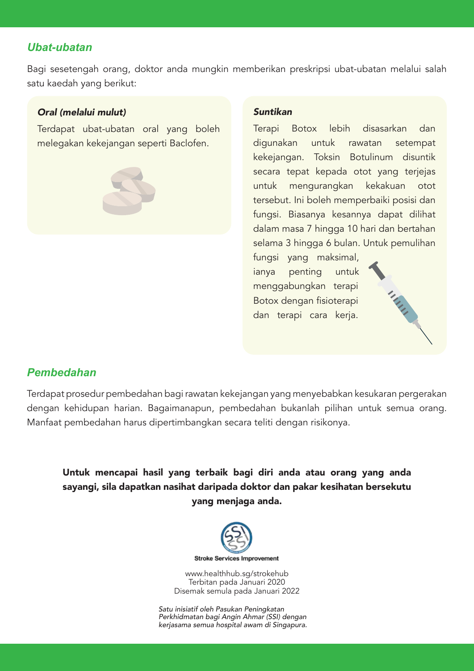### *Ubat-ubatan*

Bagi sesetengah orang, doktor anda mungkin memberikan preskripsi ubat-ubatan melalui salah satu kaedah yang berikut:

### Oral (melalui mulut)

Terdapat ubat-ubatan oral yang boleh melegakan kekejangan seperti Baclofen.



#### Suntikan

Terapi Botox lebih disasarkan dan digunakan untuk rawatan setempat kekejangan. Toksin Botulinum disuntik secara tepat kepada otot yang terjejas untuk mengurangkan kekakuan otot tersebut. Ini boleh memperbaiki posisi dan fungsi. Biasanya kesannya dapat dilihat dalam masa 7 hingga 10 hari dan bertahan selama 3 hingga 6 bulan. Untuk pemulihan

fungsi yang maksimal, ianya penting untuk menggabungkan terapi Botox dengan fisioterapi dan terapi cara kerja.



### *Pembedahan*

Terdapat prosedur pembedahan bagi rawatan kekejangan yang menyebabkan kesukaran pergerakan dengan kehidupan harian. Bagaimanapun, pembedahan bukanlah pilihan untuk semua orang. Manfaat pembedahan harus dipertimbangkan secara teliti dengan risikonya.

Untuk mencapai hasil yang terbaik bagi diri anda atau orang yang anda sayangi, sila dapatkan nasihat daripada doktor dan pakar kesihatan bersekutu yang menjaga anda.



www.healthhub.sg/strokehub Terbitan pada Januari 2020 Disemak semula pada Januari 2022

Satu inisiatif oleh Pasukan Peningkatan Perkhidmatan bagi Angin Ahmar (SSI) dengan kerjasama semua hospital awam di Singapura.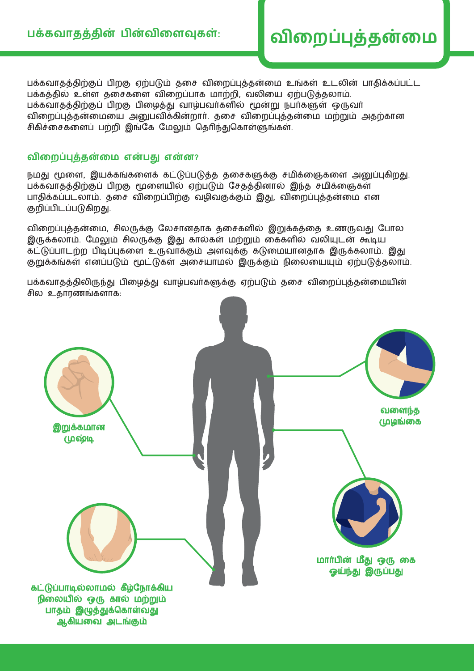பக்கவாதத்திற்குப் பிறகு ஏற்படும் தசை விறைப்புத்தன்மை உங்கள் உடலின் பாதிக்கப்பட்ட பக்கத்தில் உள்ள தசைகளை விரைப்பாக மாற்றி, வலியை ஏற்படுத்தலாம். பக்கவாதத்திற்குப் பிறகு பிழைத்து வாழ்பவர்களில் மூன்று நபர்களுள் ஒருவர் விறைப்புத்தன்மையை அனுபவிக்கின்றார். தசை விறைப்புத்தன்மை மற்றும் அதற்கான சிகிச்சைகளைப் பற்றி இங்கே மேலும் தெரிந்துகொள்ளுங்கள்.

### **விறைப்புத்தனறமை எனபது என்ன?**

நமது மூளை, இயக்கங்களைக் கட்டுப்படுத்த தசைகளுக்கு சமிக்ஞைகளை அனுப்புகிறது. பக்கவாதத்திற்குப் பிறகு மூளையில் ஏற்படும் சேதத்தினால் இந்த சமிக்ஞைகள் பாதிக்கப்படலாம். தசை விறைப்பிற்கு வழிவகுக்கும் இது, விறைப்புத்தன்மை என குறிப்பிடப்படுகிறது.

விறைப்புத்தன்மை, சிலருக்கு லேசானதாக தசைகளில் இறுக்கத்தை உணருவது போல இருக்கலாம். மேலும் சிலருக்கு இது கால்கள் மற்றும் கைகளில் வலியுடன் கூடிய கட்டுப்பாடற்ற பிடிப்புகளை உருவாக்கும் அளவுக்கு கடுமையானதாக இருக்கலாம். இது குறுக்கங்கள் எனப்படும் மூட்டுகள் அசையாமல் இருக்கும் நிலையையும் ஏற்படுத்தலாம்.

பக்கவாதத்திலிருந்து பிழைத்து வாழ்பவர்களுக்கு ஏற்படும் தசை விறைப்புத்தன்மையின் சில உதாரணங்களாக:

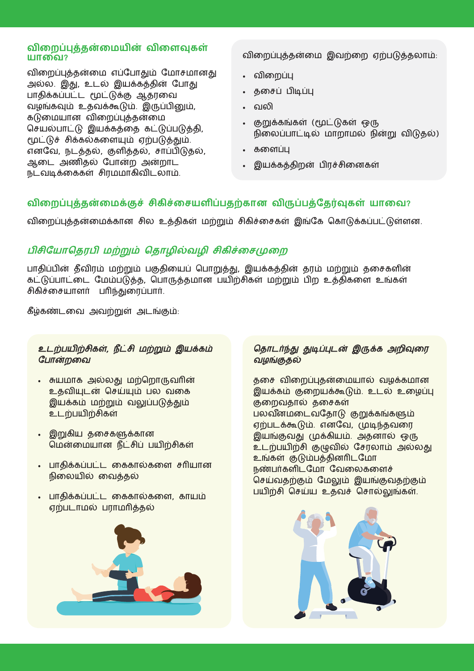### **விறைப்புத்தனறமையின விறைவு்கள் யாறவ?**

விறைப்புத்தன்மை எப்போதும் மோசமானது அல்ல. இது, உடல் இயக்கத்தின் போது பாதிக்கப்பட்ட மூட்டுக்கு ஆதரவை வைங்கவும் உதவககூடும். இருப்பினும், கடுமையான விறைப்புத்தன்மை செயல்பாட்டு இயக்கத்தை கட்டுப்படுத்தி, மூட்டுச் சிக்கல்களையும் ஏற்படுத்தும். என்வ, நடததல், கு்ளிததல், ைாப்பிடுதல், ஆசட அணிதல் ்பானற அனறாட நடவடிக்கைகள் சிரமமாகிவிடலாம்.

விசறப்புததனசமை இவற்சற ஏற்படுததலாம்:

- விசறப்பு
- தசைப் பிடிப்பு
- வலதி
- குறுக்கங்கள் (மூடடு்கள் ஒரு நிலைப்பாட்டில் மாறாமல் நின்று விடுதல்)
- களைப்பு
- இயக்கத்திறன் பிரச்சினைகள்

### விறைப்புத்தன்மைக்குச் சிகிச்சையளிப்பதற்கான விருப்பத்தேர்வுகள் யாவை?

விறைப்புத்தன்மைக்கான சில உத்திகள் மற்றும் சிகிச்சைகள் இங்கே கொடுக்கப்பட்டுள்ளன.

## பிசியோதெரபி மற்றும் தொழில்வழி சிகிச்சைமுறை

பாதிப்பின் தீவிரம் மற்றும் பகுதியைப் பொறுத்து, இயக்கத்தின் தரம் மற்றும் தசைகளின் கட்டுப்பாட்டை மேம்படுத்த, பொருத்தமான பயிற்சிகள் மற்றும் பிற உத்திகளை உங்கள் சிகிச்சையாளர் பரிந்துரைப்பார்.

்கீழ்கணடசவ அவற்றுள் அடஙகும்:

### உடற்பயிற்சிகள், நீட்சி மற்றும் இயக்கம் போன்றவை

- சுயமாக அல்லது மற்றொருவரின் உதவியுடன் செய்யும் பல வகை இயக்கம் மற்றும் வலுப்படுத்தும் உடற்பயிற்சிகள்
- இறுகிய தசைகளுக்கான மென்மையான நீட்சிப் பயிற்சிகள்
- பாதிக்கப்பட்ட கைகால்களை சரியான நிலையில் வைத்தல்
- பாதிக்கப்பட்ட கைகால்களை, காயம் ஏற்படாமைல் பராமைரிததல்



### தொடர்ந்து துடிப்புடன் இருக்க அறிவுரை வைஙகுதல்

தசை விறைப்புதன்மையால் வழக்கமான இயக்கம் குறையக்கூடும். உடல் உழைப்பு குறைவதால் தசைகள் பலவீனமடைவதோடு குறுக்கங்களும் ஏற்படககூடும். என்வ, முடிந்தவசர இயங்குவது முக்கியம். அதனால் ஒரு உடற்பயிற்சி குழுவில் சேரலாம் அல்லது உங்கள் குடும்பத்தினரிடமோ நண்பர்களிடமோ வேலைகளைச் செய்வதற்கும் மேலும் இயங்குவதற்கும் பயிற்சி செய்ய உதவச் சொல்லுங்கள்.

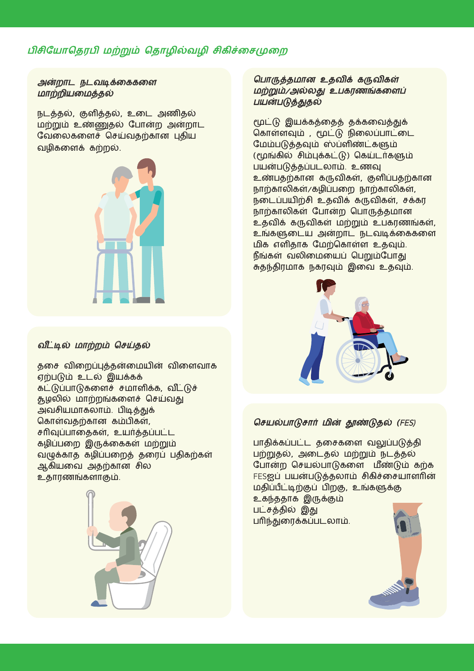### பிசியோதெரபி மற்றும் தொழில்வழி சிகிச்சைமுறை

#### அன்றாட நடவடிக்கைகளை மாற்றியமைத்தல்

நடத்தல், குளித்தல், உடை அணிதல் மைற்றும் உணணுதல் ்பானற அனறாட வேலைகளைச் செய்வதற்கான புதிய வழிகளைக் கற்றல்.



### வீட்டில் மாற்றம் செய்தல்

தசை விறைப்புத்தன்மையின் விளைவாக ஏற்படும் உடல் இயக்கக் கட்டுப்பாடுகளைச் சமாளிக்க, வீட்டுச் தூழலில் மாற்றங்களைச் செய்வது அவசியமாகலாம். பிடித்துக் கொள்வதற்கான கம்பிகள், சரிவுப்பாதைகள், உயர்த்தப்பட்ட ்கைதிப்பசற இருகச்க்கள் மைற்றும் வழுக்காத கழிப்பறைத் தரைப் பதிகற்கள் ஆகியவை அதற்கான சில உதாரணங்க்ளாகும்.



### பொருத்தமான உதவிக் கருவிகள் மற்றும்/அல்லது உபகரணங்களைப் பயன்படுத்துதல்

மூட்டு இயக்கத்தைத் தக்கவைத்துக் கொள்ளவும் , மூட்டு நிலைப்பாட்டை மேம்படுத்தவும் ஸ்ப்ளிண்ட்களும் (மூங்கில் சிம்புக்கட்டு) கெய்டர்களும் பைனபடுததப்படலாம். உணவு உண்பதற்கான கருவிகள், குளிப்பதற்கான நாற்காலிகள்/கழிப்பறை நாற்காலிகள், நடைப்பயிற்சி உதவிக் கருவிகள், சக்கர நாற்காலிகள் போன்ற பொருத்தமான உதவிக் கருவிகள் மற்றும் உபகரணங்கள், உங்களுடைய அன்றாட நடவடிக்கைகளை மிக எளிதாக மேற்கொள்ள உதவும். நீங்கள் வலிமையைப் பெறும்போது சுதந்திரமாக நகரவும் இவை உதவும்.



### செயல்பாடுசார் மின் தூண்டுதல் (FES)

பாதிக்கப்பட்ட தசைகளை வலுப்படுத்தி பற்றுதல், அசடதல் மைற்றும் நடததல் போன்ற செயல்பாடுகளை மீண்டும் கற்க FESஐப் பயன்படுத்தலாம் சிகிச்சையாளரின் மைததிப்பபீடடிற்குப் பிறகு, உங்களுககு உகந்ததாக இருக்கும் படைதததில் இது

பரிந்துசரக்கப்படலாம்.